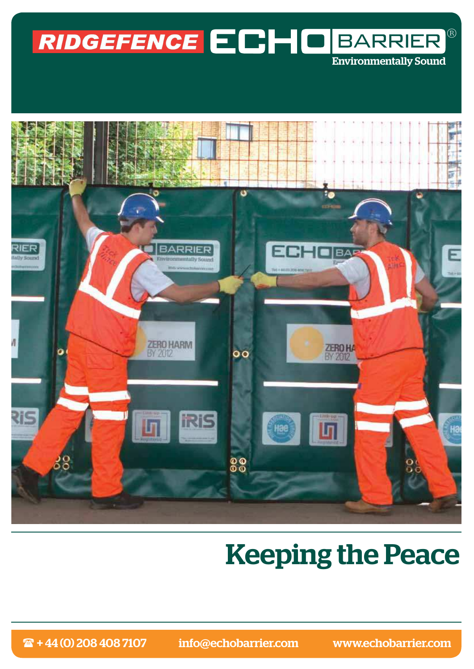### RIDGEFENCE ECHOBARRIER ®

Environmentally Sound



# Keeping the Peace

+ 44 (0) 208 408 7107 info@echobarrier.com www.echobarrier.com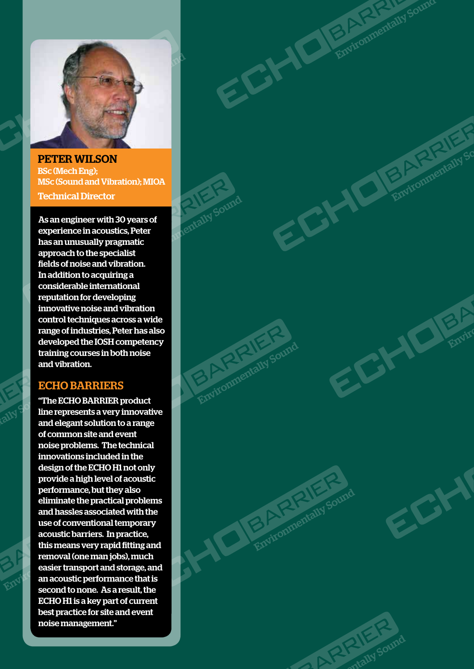

®

Environmentally Sou

onmentally

**Elly** Sound

.onmentally Sou

Environmentally So

Enviro

PETEr WIlSOn BSc (Mech Eng); MSc (Sound and Vibration); MIOA Technical Director

rs of Manually Sound ®and vibration. As an engineer with 30 years of experience in acoustics, Peter has an unusually pragmatic approach to the specialist ields of noise and vibration. In addition to acquiring a considerable international reputation for developing innovative noise and vibration control techniques across a wide range of industries, Peter has also developed the IOSH competency training courses in both noise

### ECHO BArrIErS

®eliminate the practical problems use of conventional temporary acoustic barriers. In practice,<br>this means very rapid fitting a<br>removal (one man jobs), mucl<br>easier transport and storage, a<br>an acoustic performance that<br>second to none. As a result th  $\frac{1}{\sqrt{2}}$ ecally  $\frac{d}{dx}$  and "The ECHO BArrIEr product line represents a very innovative and elegant solution to a range of common site and event noise problems. The technical innovations included in the design of the ECHO H1 not only provide a high level of acoustic performance, but they also and hassles associated with the this means very rapid fitting and removal (one man jobs), much easier transport and storage, and an acoustic performance that is second to none. As a result, the ECHO H1 is a key part of current best practice for site and event noise management."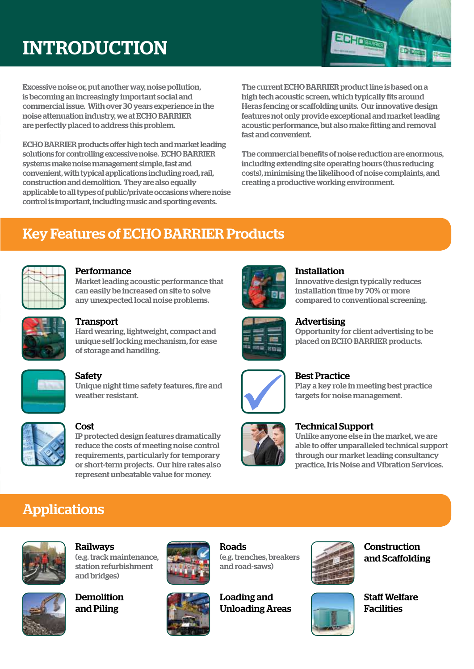# **INTRODUCTION**

Excessive noise or, put another way, noise pollution, is becoming an increasingly important social and commercial issue. With over 30 years experience in the noise attenuation industry, we at ECHO BARRIER are perfectly placed to address this problem.

ECHO BArrIEr products ofer high tech and market leading solutions for controlling excessive noise. ECHO BARRIER systems make noise management simple, fast and convenient, with typical applications including road, rail, construction and demolition. They are also equally applicable to all types of public/private occasions where noise control is important, including music and sporting events.

The current ECHO BARRIER product line is based on a high tech acoustic screen, which typically fits around Heras fencing or scafolding units. Our innovative design features not only provide exceptional and market leading acoustic performance, but also make itting and removal fast and convenient.

The commercial benefits of noise reduction are enormous. including extending site operating hours (thus reducing costs), minimising the likelihood of noise complaints, and creating a productive working environment.

### **Key Features of ECHO BARRIER Products**



### **Performance**

Market leading acoustic performance that can easily be increased on site to solve any unexpected local noise problems.



### Transport

Hard wearing, lightweight, compact and unique self locking mechanism, for ease of storage and handling.



### Safety

Unique night time safety features, fire and weather resistant.



### Cost

IP protected design features dramatically reduce the costs of meeting noise control requirements, particularly for temporary or short-term projects. Our hire rates also represent unbeatable value for money.



### Installation

Innovative design typically reduces installation time by 70% or more compared to conventional screening.

### **Advertising**

Opportunity for client advertising to be placed on ECHO BARRIER products.



### Best Practice

Play a key role in meeting best practice targets for noise management.



### Technical Support

Unlike anyone else in the market, we are able to ofer unparalleled technical support through our market leading consultancy practice, Iris Noise and Vibration Services.

### Applications



**Railways** (e.g. track maintenance, station refurbishment and bridges)



**Demolition** and Piling



**Roads** (e.g. trenches, breakers and road-saws)

loading and **Unloading Areas** 



**Construction** and Scaffolding



**Staff Welfare** Facilities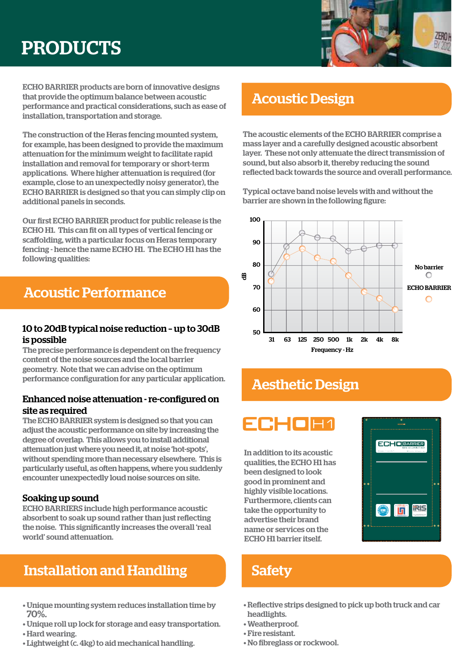# **PRODUCTS**



ECHO BARRIER products are born of innovative designs that provide the optimum balance between acoustic performance and practical considerations, such as ease of installation, transportation and storage.

The construction of the Heras fencing mounted system, for example, has been designed to provide the maximum attenuation for the minimum weight to facilitate rapid installation and removal for temporary or short-term applications. Where higher attenuation is required (for example, close to an unexpectedly noisy generator), the ECHO BARRIER is designed so that you can simply clip on additional panels in seconds.

Our first ECHO BARRIER product for public release is the ECHO H1. This can fit on all types of vertical fencing or scafolding, with a particular focus on Heras temporary fencing - hence the name ECHO H1. The ECHO H1 has the following qualities:

### Acoustic Performance

### 10 to 20dB typical noise reduction – up to 30dB is possible

The precise performance is dependent on the frequency content of the noise sources and the local barrier geometry. note that we can advise on the optimum performance coniguration for any particular application.

### Enhanced noise attenuation - re-conigured on site as required

The ECHO BARRIER system is designed so that you can adjust the acoustic performance on site by increasing the degree of overlap. This allows you to install additional attenuation just where you need it, at noise 'hot-spots', without spending more than necessary elsewhere. This is particularly useful, as oten happens, where you suddenly encounter unexpectedly loud noise sources on site.

### Soaking up sound

ECHO BArrIErS include high performance acoustic absorbent to soak up sound rather than just reflecting the noise. This significantly increases the overall 'real world' sound attenuation.

### Installation and Handling

- Unique mounting system reduces installation time by 70%.
- Unique roll up lock for storage and easy transportation.
- Hard wearing.
- Lightweight (c. 4kg) to aid mechanical handling.

### Acoustic Design

The acoustic elements of the ECHO BARRIER comprise a mass layer and a carefully designed acoustic absorbent layer. These not only attenuate the direct transmission of sound, but also absorb it, thereby reducing the sound relected back towards the source and overall performance.

Typical octave band noise levels with and without the barrier are shown in the following figure:



### Aesthetic Design



In addition to its acoustic qualities, the ECHO H1 has been designed to look good in prominent and highly visible locations. Furthermore, clients can take the opportunity to advertise their brand name or services on the ECHO H1 barrier itself.



### **Safety**

- Relective strips designed to pick up both truck and car headlights.
- Weatherproof.
- Fire resistant.
- No fibreglass or rockwool.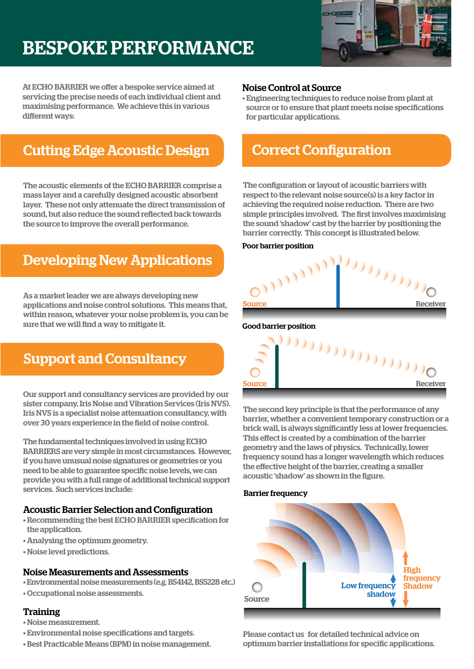# BESPOKE PErFOrMAnCE



At ECHO BARRIER we offer a bespoke service aimed at servicing the precise needs of each individual client and maximising performance. We achieve this in various diferent ways:

### Cutting Edge Acoustic Design

The acoustic elements of the ECHO BARRIER comprise a mass layer and a carefully designed acoustic absorbent layer. These not only attenuate the direct transmission of sound, but also reduce the sound reflected back towards the source to improve the overall performance.

### **Developing New Applications**

As a market leader we are always developing new applications and noise control solutions. This means that, within reason, whatever your noise problem is, you can be sure that we will find a way to mitigate it.

### Support and Consultancy

Our support and consultancy services are provided by our sister company, Iris Noise and Vibration Services (Iris NVS). Iris nVS is a specialist noise attenuation consultancy, with over 30 years experience in the ield of noise control.

The fundamental techniques involved in using ECHO BARRIERS are very simple in most circumstances. However, if you have unusual noise signatures or geometries or you need to be able to guarantee speciic noise levels, we can provide you with a full range of additional technical support services. Such services include:

### Acoustic Barrier Selection and Coniguration

- Recommending the best ECHO BARRIER speciication for the application.
- Analysing the optimum geometry.
- Noise level predictions.

### noise Measurements and Assessments

- Environmental noise measurements (e.g. BS4142, BS5228 etc.)
- Occupational noise assessments.

### **Training**

- Noise measurement.
- Environmental noise speciications and targets.
- Best Practicable Means (BPM) in noise management.

#### noise Control at Source

• Engineering techniques to reduce noise from plant at source or to ensure that plant meets noise specifications for particular applications.

### **Correct Configuration**

The coniguration or layout of acoustic barriers with respect to the relevant noise source(s) is a key factor in achieving the required noise reduction. There are two simple principles involved. The first involves maximising the sound 'shadow' cast by the barrier by positioning the barrier correctly. This concept is illustrated below.

#### Poor barrier position





The second key principle is that the performance of any barrier, whether a convenient temporary construction or a brick wall, is always significantly less at lower frequencies. This efect is created by a combination of the barrier geometry and the laws of physics. Technically, lower frequency sound has a longer wavelength which reduces the efective height of the barrier, creating a smaller acoustic 'shadow' as shown in the figure.

#### Barrier frequency



Please contact us for detailed technical advice on optimum barrier installations for specific applications.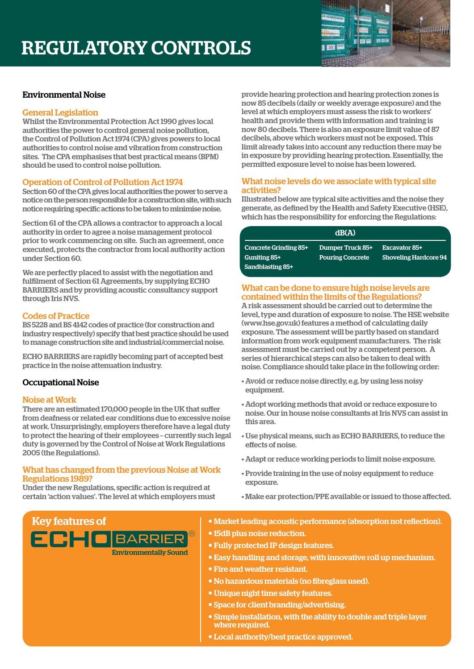# rEgulATOry COnTrOlS



#### **Environmental Noise**

#### **General Legislation**

Whilst the Environmental Protection Act 1990 gives local authorities the power to control general noise pollution, the Control of Pollution Act 1974 (CPA) gives powers to local authorities to control noise and vibration from construction sites. The CPA emphasises that best practical means (BPM) should be used to control noise pollution.

#### Operation of Control of Pollution Act 1974

Section 60 of the CPA gives local authorities the power to serve a notice on the person responsible for a construction site, with such notice requiring speciic actions to be taken to minimise noise.

Section 61 of the CPA allows a contractor to approach a local authority in order to agree a noise management protocol prior to work commencing on site. Such an agreement, once executed, protects the contractor from local authority action under Section 60.

We are perfectly placed to assist with the negotiation and fulfilment of Section 61 Agreements, by supplying ECHO BARRIERS and by providing acoustic consultancy support through Iris nVS.

#### Codes of Practice

BS 5228 and BS 4142 codes of practice (for construction and industry respectively) specify that best practice should be used to manage construction site and industrial/commercial noise.

ECHO BARRIERS are rapidly becoming part of accepted best practice in the noise attenuation industry.

#### Occupational Noise

#### **Noise at Work**

There are an estimated 170,000 people in the UK that suffer from deafness or related ear conditions due to excessive noise at work. Unsurprisingly, employers therefore have a legal duty to protect the hearing of their employees – currently such legal duty is governed by the Control of Noise at Work Regulations 2005 (the Regulations).

#### What has changed from the previous Noise at Work Regulations 1989?

Under the new Regulations, specific action is required at certain 'action values'. The level at which employers must provide hearing protection and hearing protection zones is now 85 decibels (daily or weekly average exposure) and the level at which employers must assess the risk to workers' health and provide them with information and training is now 80 decibels. There is also an exposure limit value of 87 decibels, above which workers must not be exposed. This limit already takes into account any reduction there may be in exposure by providing hearing protection. Essentially, the permitted exposure level to noise has been lowered.

#### What noise levels do we associate with typical site activities?

Illustrated below are typical site activities and the noise they generate, as deined by the Health and Safety Executive (HSE), which has the responsibility for enforcing the Regulations:

| dB(A)                        |                         |                              |
|------------------------------|-------------------------|------------------------------|
| <b>Concrete Grinding 85+</b> | <b>Dumper Truck 85+</b> | Excavator 85+                |
| Guniting 85+                 | <b>Pouring Concrete</b> | <b>Shoveling Hardcore 94</b> |
| Sandblasting 85+             |                         |                              |

#### What can be done to ensure high noise levels are contained within the limits of the Regulations?

A risk assessment should be carried out to determine the level, type and duration of exposure to noise. The HSE website (www.hse.gov.uk) features a method of calculating daily exposure. The assessment will be partly based on standard information from work equipment manufacturers. The risk assessment must be carried out by a competent person. A series of hierarchical steps can also be taken to deal with noise. Compliance should take place in the following order:

- Avoid or reduce noise directly, e.g. by using less noisy equipment.
- Adopt working methods that avoid or reduce exposure to noise. Our in house noise consultants at Iris nVS can assist in this area.
- reduce the<br>kposure. • Use physical means, such as ECHO BARRIERS, to reduce the effects of noise.
- Adapt or reduce working periods to limit noise exposure.
- Provide training in the use of noisy equipment to reduce exposure.
- Make ear protection/PPE available or issued to those afected.



- Market leading acoustic performance (absorption not relection).
- 15dB plus noise reduction.
- Fully protected IP design features.
- Easy handling and storage, with innovative roll up mechanism.
- Fire and weather resistant.
- No hazardous materials (no fibreglass used).
- Unique night time safety features.
- Space for client branding/advertising.
- Simple installation, with the ability to double and triple layer where required.
- Local authority/best practice approved.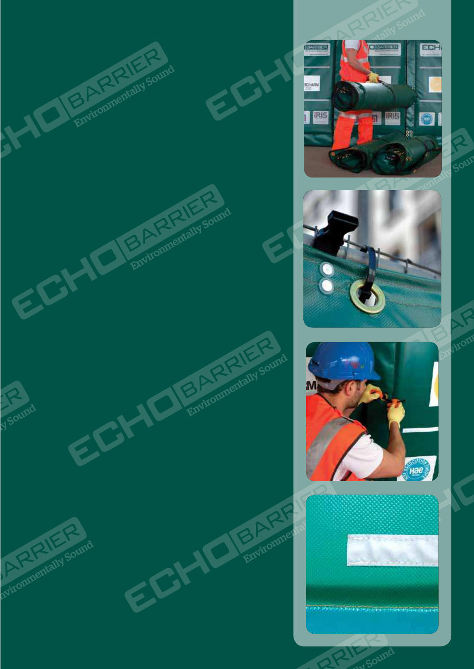